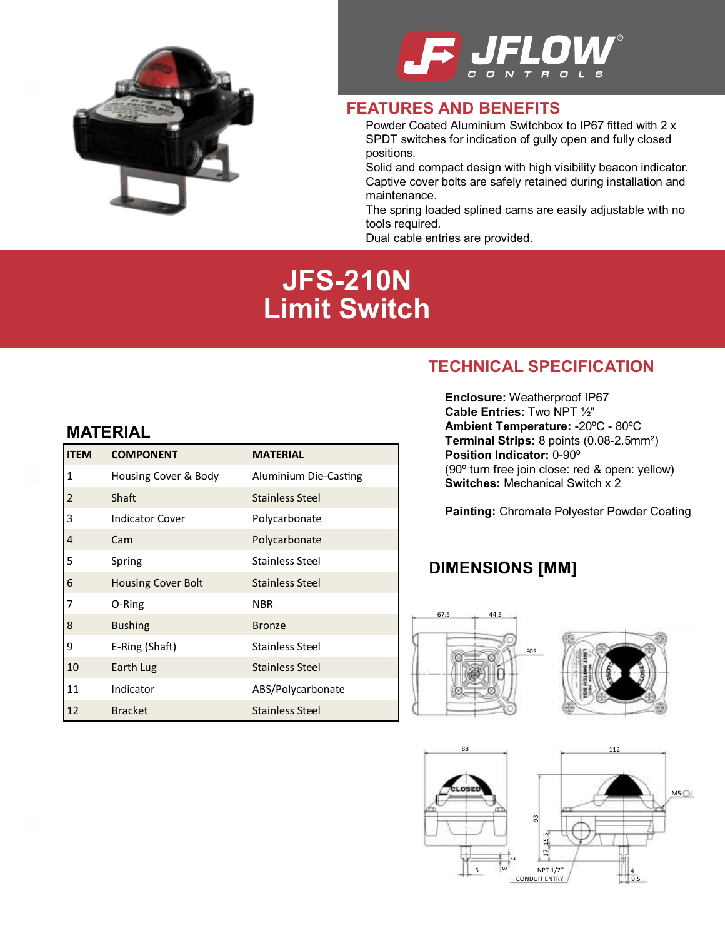



#### **FEATURES AND BENEFITS**

SPDT switches for indication of gully open and fully closed Powder Coated Aluminium Switchbox to IP67 fitted with 2 x positions.

cato Solid and compact design with high visibility beacon indicator. Captive cover bolts are safely retained during installation and maintenance.

The spring loaded splined cams are easily adjustable with no tools required.

Dual cable entries are provided.

# **JFS-210N Limit Switch**

## **MATERIAL**

| <b>ITEM</b>    | <b>COMPONENT</b>          | <b>MATERIAL</b>        |
|----------------|---------------------------|------------------------|
| 1              | Housing Cover & Body      | Aluminium Die-Casting  |
| $\overline{2}$ | Shaft                     | <b>Stainless Steel</b> |
| 3              | <b>Indicator Cover</b>    | Polycarbonate          |
| 4              | Cam                       | Polycarbonate          |
| 5              | Spring                    | <b>Stainless Steel</b> |
| 6              | <b>Housing Cover Bolt</b> | <b>Stainless Steel</b> |
| 7              | O-Ring                    | <b>NBR</b>             |
| 8              | <b>Bushing</b>            | <b>Bronze</b>          |
| 9              | E-Ring (Shaft)            | <b>Stainless Steel</b> |
| 10             | Earth Lug                 | <b>Stainless Steel</b> |
| 11             | Indicator                 | ABS/Polycarbonate      |
| 12             | <b>Bracket</b>            | <b>Stainless Steel</b> |

## **TECHNICAL SPECIFICATION**

**Enclosure:** Weatherproof IP67 **Cable Entries:** Two NPT ½" **Ambient Temperature:** -20ºC - 80ºC **Terminal Strips:** 8 points (0.08-2.5mm²) **Position Indicator:** 0-90º (90º turn free join close: red & open: yellow) **Switches:** Mechanical Switch x 2

**Painting:** Chromate Polyester Powder Coating

## **DIMENSIONS [MM]**